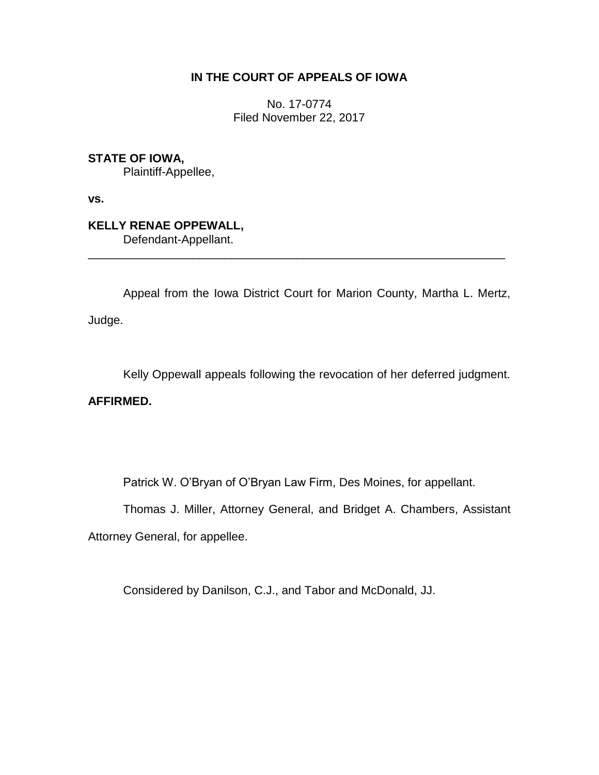## **IN THE COURT OF APPEALS OF IOWA**

No. 17-0774 Filed November 22, 2017

**STATE OF IOWA,**

Plaintiff-Appellee,

**vs.**

**KELLY RENAE OPPEWALL,** Defendant-Appellant.

Appeal from the Iowa District Court for Marion County, Martha L. Mertz, Judge.

\_\_\_\_\_\_\_\_\_\_\_\_\_\_\_\_\_\_\_\_\_\_\_\_\_\_\_\_\_\_\_\_\_\_\_\_\_\_\_\_\_\_\_\_\_\_\_\_\_\_\_\_\_\_\_\_\_\_\_\_\_\_\_\_

Kelly Oppewall appeals following the revocation of her deferred judgment.

**AFFIRMED.**

Patrick W. O'Bryan of O'Bryan Law Firm, Des Moines, for appellant.

Thomas J. Miller, Attorney General, and Bridget A. Chambers, Assistant

Attorney General, for appellee.

Considered by Danilson, C.J., and Tabor and McDonald, JJ.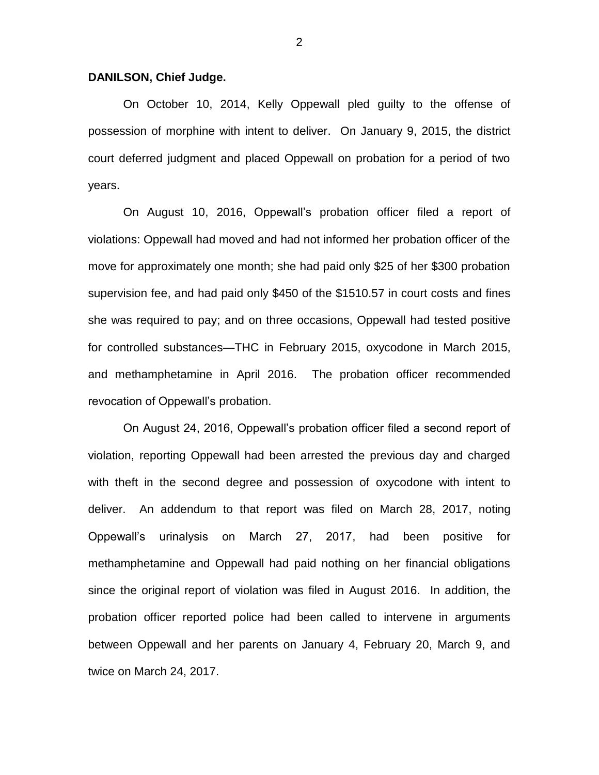## **DANILSON, Chief Judge.**

On October 10, 2014, Kelly Oppewall pled guilty to the offense of possession of morphine with intent to deliver. On January 9, 2015, the district court deferred judgment and placed Oppewall on probation for a period of two years.

On August 10, 2016, Oppewall's probation officer filed a report of violations: Oppewall had moved and had not informed her probation officer of the move for approximately one month; she had paid only \$25 of her \$300 probation supervision fee, and had paid only \$450 of the \$1510.57 in court costs and fines she was required to pay; and on three occasions, Oppewall had tested positive for controlled substances—THC in February 2015, oxycodone in March 2015, and methamphetamine in April 2016. The probation officer recommended revocation of Oppewall's probation.

On August 24, 2016, Oppewall's probation officer filed a second report of violation, reporting Oppewall had been arrested the previous day and charged with theft in the second degree and possession of oxycodone with intent to deliver. An addendum to that report was filed on March 28, 2017, noting Oppewall's urinalysis on March 27, 2017, had been positive for methamphetamine and Oppewall had paid nothing on her financial obligations since the original report of violation was filed in August 2016. In addition, the probation officer reported police had been called to intervene in arguments between Oppewall and her parents on January 4, February 20, March 9, and twice on March 24, 2017.